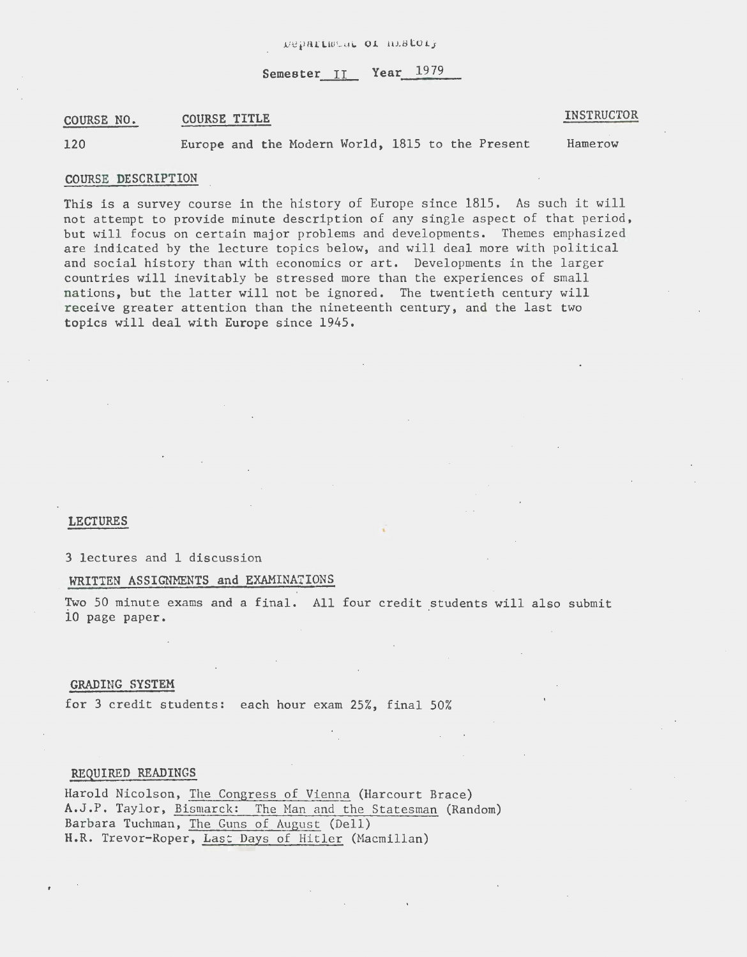Semester II Year 1979

#### COURSE NO. COURSE TITLE

INSTRUCTOR

120

Europe and the Modern World, 1815 to the Present

**Hamerow** 

#### COURSE DESCRIPTION

This is a survey course in the history of Europe since 1815. As such it will not attempt to provide minute description of any single aspect of that period, but will focus on certain major problems and developments. Themes emphasized are indicated by the lecture topics below, and will deal more with political and social history than with economics or art. Developments in the larger countries will inevitably be stressed more than the experiences of small nations, but the latter will not be ignored. The twentieth century will receive greater attention than the nineteenth century, and the last two topics will deal with Europe since 1945.

#### LECTURES

## 3 lectures and 1 discussion

#### WRITTEN ASSIGNMENTS and EXAMINATIONS

Two 50 minute exams and a final. All four credit students will also submit 10 page paper.

### GRADING SYSTEM

for 3 credit students: each hour exam 25%, final 50%

### REQUIRED READINGS

Harold Nicolson, The Congress of Vienna (Harcourt Brace) A.J.P. Taylor, Bismarck: The Man and the Statesman (Random) Barbara Tuchman, The Guns of August (Dell) H.R. Trevor-Roper, Last Days of Hitler (Macmillan)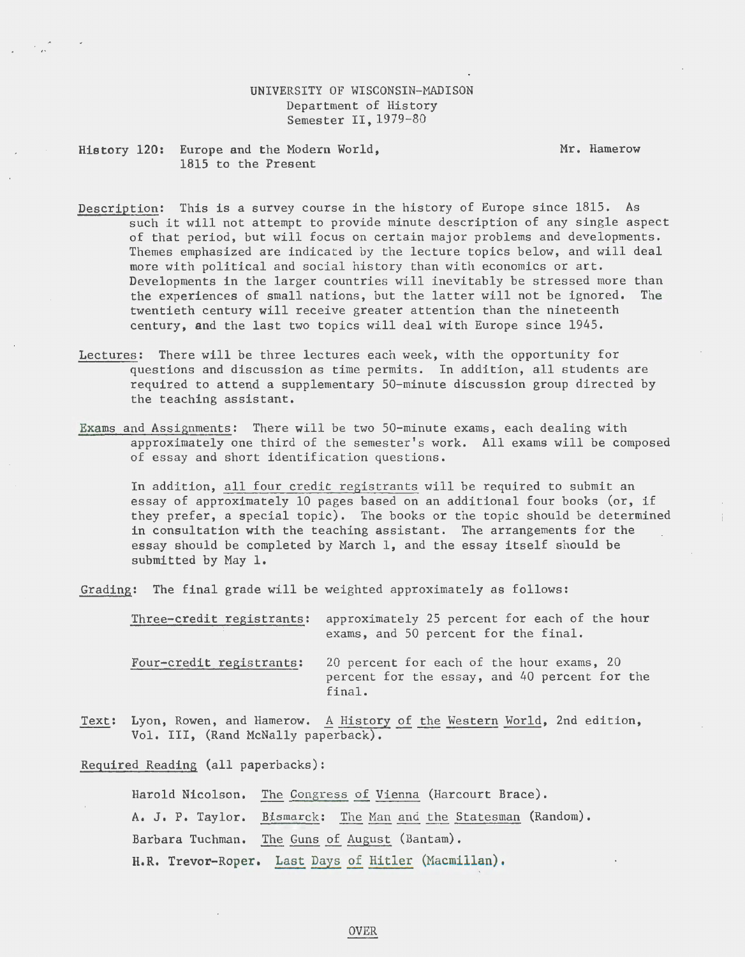## UNIVERSITY OF WISCONSIN-MADISON Department of History Semester II, 1979-80

History 120: Europe and the Modern World, 1815 to the Present

Mr. Hamerow

- Description: This is a survey course in the history of Europe since 1815. As such it will not attempt to provide minute description of any single aspect of that period, but will focus on certain major problems and developments. Themes emphasized are indicated by the lecture topics below, and will deal more with political and social history than with economics or art. Developments in the larger countries will inevitably be stressed more than the experiences of small nations, but the latter will not be ignored. The twentieth century will receive greater attention than the nineteenth century, and the last two topics will deal with Europe since 1945.
- Lectures: There will be three lectures each week, with the opportunity for questions and discussion as time permits. In addition, all students are required to attend a supplementary 50-minute discussion group directed by the teaching assistant.
- Exams and Assignments: There will be two 50-minute exams, each dealing with approximately one third of the semester's work. All exams will be composed of essay and short identification questions.

In addition, all four credit registrants will be required to submit an essay of approximately 10 pages based on an additional four books (or, if they prefer, a special topic). The books or the topic should be determined in consultation with the teaching assistant. The arrangements for the essay should be completed by March 1, and the essay itself should be submitted by May 1.

Grading: The final grade will be weighted approximately as follows:

Three-credit registrants: approximately 25 percent for each of the hour exams, and 50 percent for the final. Four-credit registrants: 20 percent for each of the hour exams, 20 percent for the essay, and 40 percent for the

Text: Lyon, Rowen, and Hamerow. A History of the Western World, 2nd edition, Vol. III, (Rand McNally paperback).

final.

Required Reading (all paperbacks):

Harold Nicolson. The Congress of Vienna (Harcourt Brace). A. J. P. Taylor. Bismarck: The Man and the Statesman (Random). Barbara Tuchman. The Guns of August (Bantam). H.R. Trevor-Roper. Last Days of Hitler (Macmillan),